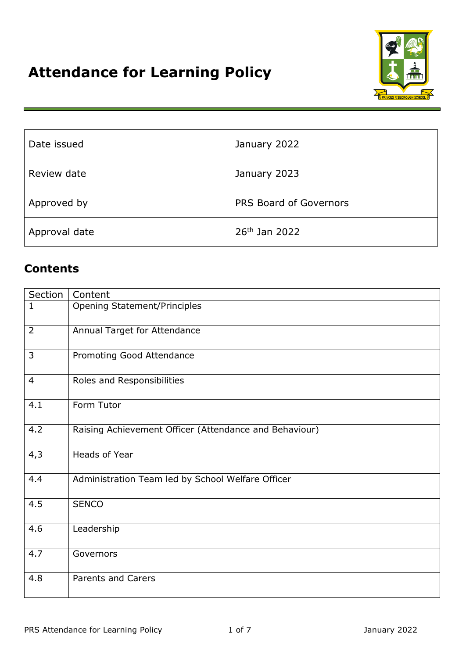

| Date issued   | January 2022           |
|---------------|------------------------|
| Review date   | January 2023           |
| Approved by   | PRS Board of Governors |
| Approval date | 26th Jan 2022          |

# **Contents**

| Section        | Content                                                |
|----------------|--------------------------------------------------------|
| $\mathbf{1}$   | <b>Opening Statement/Principles</b>                    |
| $\overline{2}$ | Annual Target for Attendance                           |
| 3              | Promoting Good Attendance                              |
| 4              | Roles and Responsibilities                             |
| 4.1            | Form Tutor                                             |
| 4.2            | Raising Achievement Officer (Attendance and Behaviour) |
| 4,3            | Heads of Year                                          |
| 4.4            | Administration Team led by School Welfare Officer      |
| 4.5            | <b>SENCO</b>                                           |
| 4.6            | Leadership                                             |
| 4.7            | Governors                                              |
| 4.8            | <b>Parents and Carers</b>                              |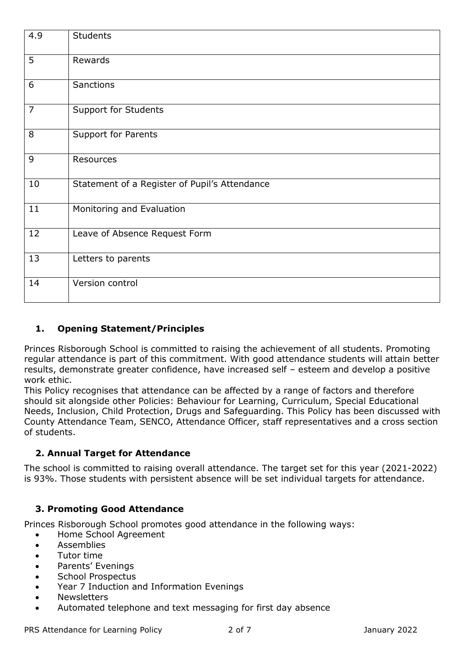| 4.9            | <b>Students</b>                               |
|----------------|-----------------------------------------------|
| 5              | Rewards                                       |
| 6              | <b>Sanctions</b>                              |
| $\overline{7}$ | <b>Support for Students</b>                   |
| 8              | Support for Parents                           |
| 9              | Resources                                     |
| 10             | Statement of a Register of Pupil's Attendance |
| 11             | Monitoring and Evaluation                     |
| 12             | Leave of Absence Request Form                 |
| 13             | Letters to parents                            |
| 14             | Version control                               |

## **1. Opening Statement/Principles**

Princes Risborough School is committed to raising the achievement of all students. Promoting regular attendance is part of this commitment. With good attendance students will attain better results, demonstrate greater confidence, have increased self – esteem and develop a positive work ethic.

This Policy recognises that attendance can be affected by a range of factors and therefore should sit alongside other Policies: Behaviour for Learning, Curriculum, Special Educational Needs, Inclusion, Child Protection, Drugs and Safeguarding. This Policy has been discussed with County Attendance Team, SENCO, Attendance Officer, staff representatives and a cross section of students.

### **2. Annual Target for Attendance**

The school is committed to raising overall attendance. The target set for this year (2021-2022) is 93%. Those students with persistent absence will be set individual targets for attendance.

## **3. Promoting Good Attendance**

Princes Risborough School promotes good attendance in the following ways:

- Home School Agreement
- **•** Assemblies
- Tutor time
- Parents' Evenings
- School Prospectus
- Year 7 Induction and Information Evenings
- Newsletters
- Automated telephone and text messaging for first day absence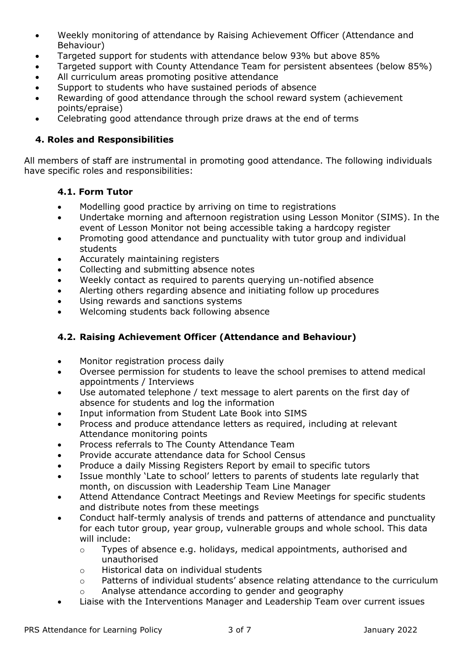- Weekly monitoring of attendance by Raising Achievement Officer (Attendance and Behaviour)
- Targeted support for students with attendance below 93% but above 85%
- Targeted support with County Attendance Team for persistent absentees (below 85%)
- All curriculum areas promoting positive attendance
- Support to students who have sustained periods of absence
- Rewarding of good attendance through the school reward system (achievement points/epraise)
- Celebrating good attendance through prize draws at the end of terms

#### **4. Roles and Responsibilities**

All members of staff are instrumental in promoting good attendance. The following individuals have specific roles and responsibilities:

### **4.1. Form Tutor**

- Modelling good practice by arriving on time to registrations
- Undertake morning and afternoon registration using Lesson Monitor (SIMS). In the event of Lesson Monitor not being accessible taking a hardcopy register
- Promoting good attendance and punctuality with tutor group and individual students
- Accurately maintaining registers
- Collecting and submitting absence notes
- Weekly contact as required to parents querying un-notified absence
- Alerting others regarding absence and initiating follow up procedures
- Using rewards and sanctions systems
- Welcoming students back following absence

#### **4.2. Raising Achievement Officer (Attendance and Behaviour)**

- Monitor registration process daily
- Oversee permission for students to leave the school premises to attend medical appointments / Interviews
- Use automated telephone / text message to alert parents on the first day of absence for students and log the information
- Input information from Student Late Book into SIMS
- Process and produce attendance letters as required, including at relevant Attendance monitoring points
- Process referrals to The County Attendance Team
- Provide accurate attendance data for School Census
- Produce a daily Missing Registers Report by email to specific tutors
- Issue monthly 'Late to school' letters to parents of students late regularly that month, on discussion with Leadership Team Line Manager
- Attend Attendance Contract Meetings and Review Meetings for specific students and distribute notes from these meetings
- Conduct half-termly analysis of trends and patterns of attendance and punctuality for each tutor group, year group, vulnerable groups and whole school. This data will include:
	- o Types of absence e.g. holidays, medical appointments, authorised and unauthorised
	- o Historical data on individual students
	- o Patterns of individual students' absence relating attendance to the curriculum
	- o Analyse attendance according to gender and geography
- Liaise with the Interventions Manager and Leadership Team over current issues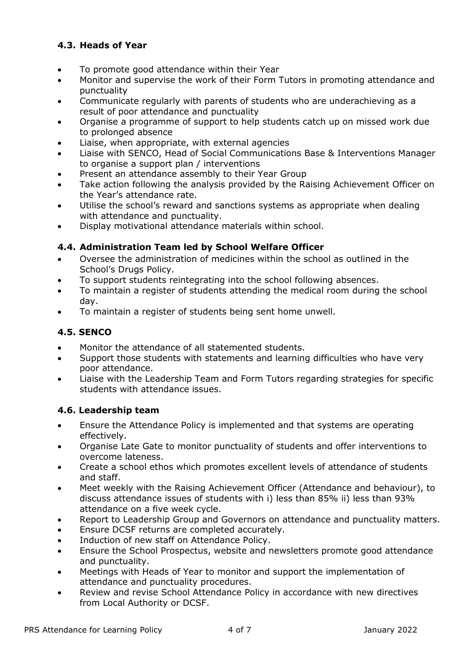## **4.3. Heads of Year**

- To promote good attendance within their Year
- Monitor and supervise the work of their Form Tutors in promoting attendance and punctuality
- Communicate regularly with parents of students who are underachieving as a result of poor attendance and punctuality
- Organise a programme of support to help students catch up on missed work due to prolonged absence
- Liaise, when appropriate, with external agencies
- Liaise with SENCO, Head of Social Communications Base & Interventions Manager to organise a support plan / interventions
- Present an attendance assembly to their Year Group
- Take action following the analysis provided by the Raising Achievement Officer on the Year's attendance rate.
- Utilise the school's reward and sanctions systems as appropriate when dealing with attendance and punctuality.
- Display motivational attendance materials within school.

## **4.4. Administration Team led by School Welfare Officer**

- Oversee the administration of medicines within the school as outlined in the School's Drugs Policy.
- To support students reintegrating into the school following absences.
- To maintain a register of students attending the medical room during the school day.
- To maintain a register of students being sent home unwell.

## **4.5. SENCO**

- Monitor the attendance of all statemented students.
- Support those students with statements and learning difficulties who have very poor attendance.
- Liaise with the Leadership Team and Form Tutors regarding strategies for specific students with attendance issues.

## **4.6. Leadership team**

- Ensure the Attendance Policy is implemented and that systems are operating effectively.
- Organise Late Gate to monitor punctuality of students and offer interventions to overcome lateness.
- Create a school ethos which promotes excellent levels of attendance of students and staff.
- Meet weekly with the Raising Achievement Officer (Attendance and behaviour), to discuss attendance issues of students with i) less than 85% ii) less than 93% attendance on a five week cycle.
- Report to Leadership Group and Governors on attendance and punctuality matters.
- Ensure DCSF returns are completed accurately.
- **Induction of new staff on Attendance Policy.**
- Ensure the School Prospectus, website and newsletters promote good attendance and punctuality.
- Meetings with Heads of Year to monitor and support the implementation of attendance and punctuality procedures.
- Review and revise School Attendance Policy in accordance with new directives from Local Authority or DCSF.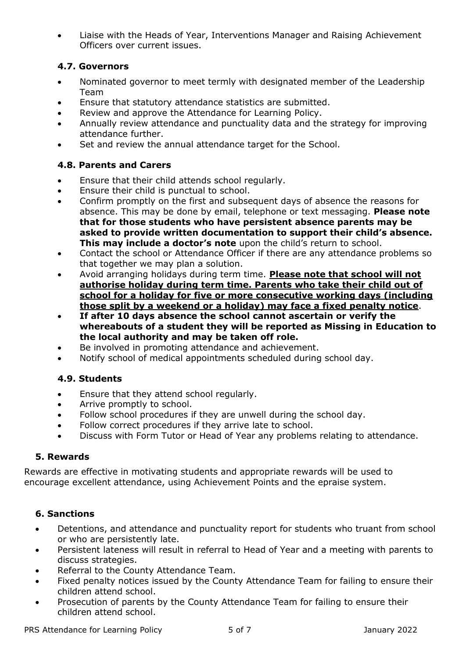Liaise with the Heads of Year, Interventions Manager and Raising Achievement Officers over current issues.

### **4.7. Governors**

- Nominated governor to meet termly with designated member of the Leadership Team
- Ensure that statutory attendance statistics are submitted.
- Review and approve the Attendance for Learning Policy.
- Annually review attendance and punctuality data and the strategy for improving attendance further.
- Set and review the annual attendance target for the School.

### **4.8. Parents and Carers**

- **Ensure that their child attends school regularly.**
- Ensure their child is punctual to school.
- Confirm promptly on the first and subsequent days of absence the reasons for absence. This may be done by email, telephone or text messaging. **Please note that for those students who have persistent absence parents may be asked to provide written documentation to support their child's absence. This may include a doctor's note** upon the child's return to school.
- Contact the school or Attendance Officer if there are any attendance problems so that together we may plan a solution.
- Avoid arranging holidays during term time. **Please note that school will not authorise holiday during term time. Parents who take their child out of school for a holiday for five or more consecutive working days (including those split by a weekend or a holiday) may face a fixed penalty notice**.
- **If after 10 days absence the school cannot ascertain or verify the whereabouts of a student they will be reported as Missing in Education to the local authority and may be taken off role.**
- Be involved in promoting attendance and achievement.
- Notify school of medical appointments scheduled during school day.

## **4.9. Students**

- Ensure that they attend school regularly.
- Arrive promptly to school.
- Follow school procedures if they are unwell during the school day.
- Follow correct procedures if they arrive late to school.
- Discuss with Form Tutor or Head of Year any problems relating to attendance.

### **5. Rewards**

Rewards are effective in motivating students and appropriate rewards will be used to encourage excellent attendance, using Achievement Points and the epraise system.

### **6. Sanctions**

- Detentions, and attendance and punctuality report for students who truant from school or who are persistently late.
- Persistent lateness will result in referral to Head of Year and a meeting with parents to discuss strategies.
- Referral to the County Attendance Team.
- Fixed penalty notices issued by the County Attendance Team for failing to ensure their children attend school.
- Prosecution of parents by the County Attendance Team for failing to ensure their children attend school.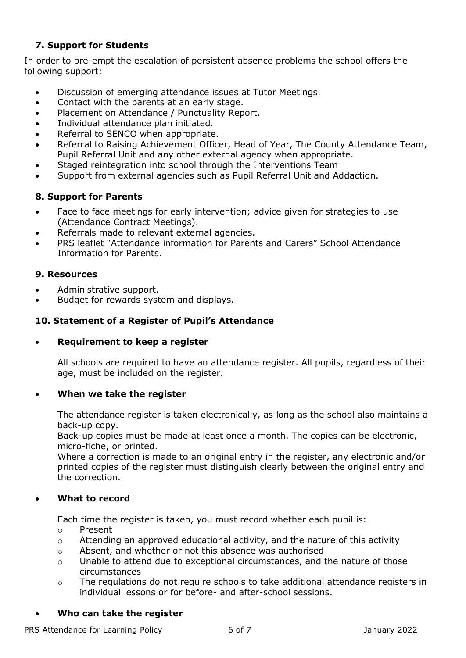### **7. Support for Students**

In order to pre-empt the escalation of persistent absence problems the school offers the following support:

- Discussion of emerging attendance issues at Tutor Meetings.
- Contact with the parents at an early stage.
- Placement on Attendance / Punctuality Report.
- Individual attendance plan initiated.
- Referral to SENCO when appropriate.
- Referral to Raising Achievement Officer, Head of Year, The County Attendance Team, Pupil Referral Unit and any other external agency when appropriate.
- Staged reintegration into school through the Interventions Team
- Support from external agencies such as Pupil Referral Unit and Addaction.

### **8. Support for Parents**

- Face to face meetings for early intervention; advice given for strategies to use (Attendance Contract Meetings).
- Referrals made to relevant external agencies.
- PRS leaflet "Attendance information for Parents and Carers" School Attendance Information for Parents.

#### **9. Resources**

- Administrative support.
- Budget for rewards system and displays.

#### **10. Statement of a Register of Pupil's Attendance**

#### **Requirement to keep a register**

All schools are required to have an attendance register. All pupils, regardless of their age, must be included on the register.

#### **When we take the register**

The attendance register is taken electronically, as long as the school also maintains a back-up copy.

Back-up copies must be made at least once a month. The copies can be electronic, micro-fiche, or printed.

Where a correction is made to an original entry in the register, any electronic and/or printed copies of the register must distinguish clearly between the original entry and the correction.

#### **What to record**

Each time the register is taken, you must record whether each pupil is:

- o Present
- o Attending an approved educational activity, and the nature of this activity
- o Absent, and whether or not this absence was authorised
- $\circ$  Unable to attend due to exceptional circumstances, and the nature of those circumstances
- $\circ$  The regulations do not require schools to take additional attendance registers in individual lessons or for before- and after-school sessions.

#### **Who can take the register**